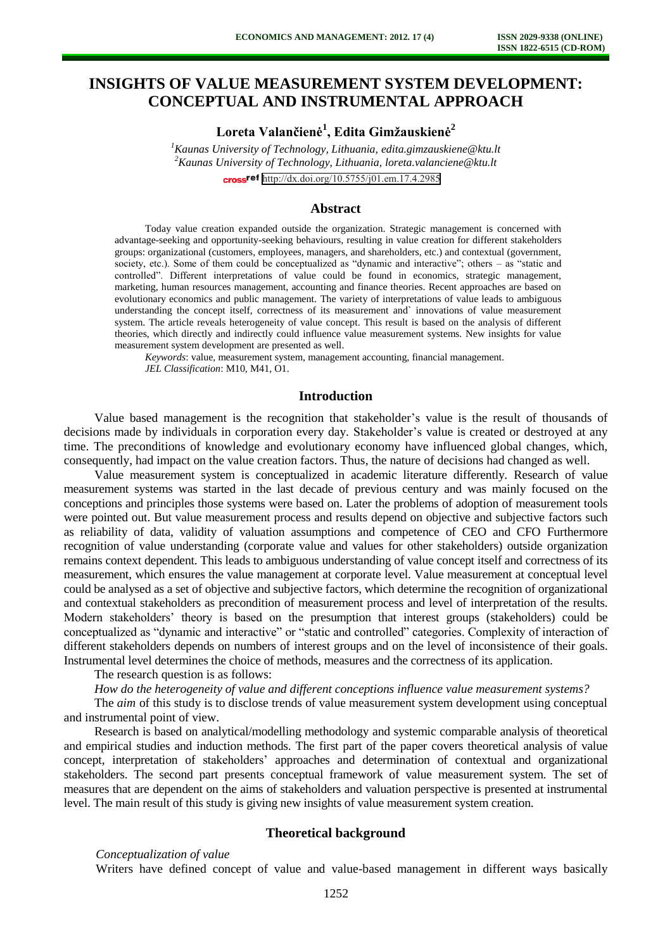# **INSIGHTS OF VALUE MEASUREMENT SYSTEM DEVELOPMENT: CONCEPTUAL AND INSTRUMENTAL APPROACH**

**Loreta Valančienė<sup>1</sup> , Edita Gimžauskienė<sup>2</sup>**

*<sup>1</sup>Kaunas University of Technology, Lithuania, [edita.gimzauskiene@ktu.lt](mailto:edita.gimzauskiene@ktu.lt) <sup>2</sup>Kaunas University of Technology, Lithuania, loreta.valanciene@ktu.lt*  cross<sup>ref</sup> <http://dx.doi.org/10.5755/j01.em.17.4.2985>

#### **Abstract**

Today value creation expanded outside the organization. Strategic management is concerned with advantage-seeking and opportunity-seeking behaviours, resulting in value creation for different stakeholders groups: organizational (customers, employees, managers, and shareholders, etc.) and contextual (government, society, etc.). Some of them could be conceptualized as "dynamic and interactive"; others – as "static and controlled". Different interpretations of value could be found in economics, strategic management, marketing, human resources management, accounting and finance theories. Recent approaches are based on evolutionary economics and public management. The variety of interpretations of value leads to ambiguous understanding the concept itself, correctness of its measurement and` innovations of value measurement system. The article reveals heterogeneity of value concept. This result is based on the analysis of different theories, which directly and indirectly could influence value measurement systems. New insights for value measurement system development are presented as well.

*Keywords*: value, measurement system, management accounting, financial management. *JEL Classification*: M10, M41, O1.

# **Introduction**

Value based management is the recognition that stakeholder's value is the result of thousands of decisions made by individuals in corporation every day. Stakeholder's value is created or destroyed at any time. The preconditions of knowledge and evolutionary economy have influenced global changes, which, consequently, had impact on the value creation factors. Thus, the nature of decisions had changed as well.

Value measurement system is conceptualized in academic literature differently. Research of value measurement systems was started in the last decade of previous century and was mainly focused on the conceptions and principles those systems were based on. Later the problems of adoption of measurement tools were pointed out. But value measurement process and results depend on objective and subjective factors such as reliability of data, validity of valuation assumptions and competence of CEO and CFO Furthermore recognition of value understanding (corporate value and values for other stakeholders) outside organization remains context dependent. This leads to ambiguous understanding of value concept itself and correctness of its measurement, which ensures the value management at corporate level. Value measurement at conceptual level could be analysed as a set of objective and subjective factors, which determine the recognition of organizational and contextual stakeholders as precondition of measurement process and level of interpretation of the results. Modern stakeholders' theory is based on the presumption that interest groups (stakeholders) could be conceptualized as "dynamic and interactive" or "static and controlled" categories. Complexity of interaction of different stakeholders depends on numbers of interest groups and on the level of inconsistence of their goals. Instrumental level determines the choice of methods, measures and the correctness of its application.

The research question is as follows:

*How do the heterogeneity of value and different conceptions influence value measurement systems?* 

The *aim* of this study is to disclose trends of value measurement system development using conceptual and instrumental point of view.

Research is based on analytical/modelling methodology and systemic comparable analysis of theoretical and empirical studies and induction methods. The first part of the paper covers theoretical analysis of value concept, interpretation of stakeholders' approaches and determination of contextual and organizational stakeholders. The second part presents conceptual framework of value measurement system. The set of measures that are dependent on the aims of stakeholders and valuation perspective is presented at instrumental level. The main result of this study is giving new insights of value measurement system creation.

# **Theoretical background**

#### *Conceptualization of value*

Writers have defined concept of value and value-based management in different ways basically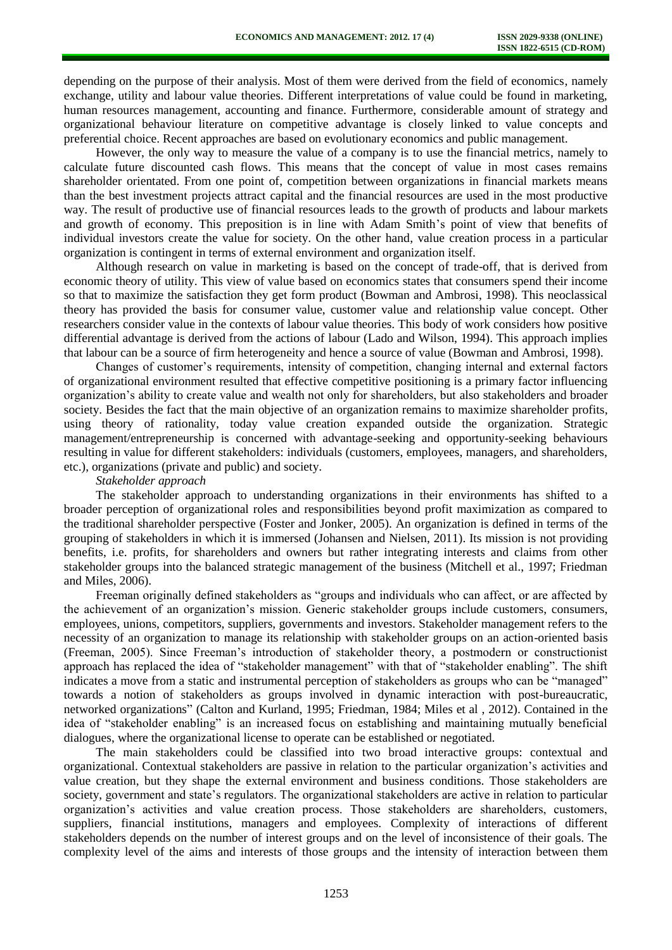depending on the purpose of their analysis. Most of them were derived from the field of economics, namely exchange, utility and labour value theories. Different interpretations of value could be found in marketing, human resources management, accounting and finance. Furthermore, considerable amount of strategy and organizational behaviour literature on competitive advantage is closely linked to value concepts and preferential choice. Recent approaches are based on evolutionary economics and public management.

However, the only way to measure the value of a company is to use the financial metrics, namely to calculate future discounted cash flows. This means that the concept of value in most cases remains shareholder orientated. From one point of, competition between organizations in financial markets means than the best investment projects attract capital and the financial resources are used in the most productive way. The result of productive use of financial resources leads to the growth of products and labour markets and growth of economy. This preposition is in line with Adam Smith's point of view that benefits of individual investors create the value for society. On the other hand, value creation process in a particular organization is contingent in terms of external environment and organization itself.

Although research on value in marketing is based on the concept of trade-off, that is derived from economic theory of utility. This view of value based on economics states that consumers spend their income so that to maximize the satisfaction they get form product (Bowman and Ambrosi, 1998). This neoclassical theory has provided the basis for consumer value, customer value and relationship value concept. Other researchers consider value in the contexts of labour value theories. This body of work considers how positive differential advantage is derived from the actions of labour (Lado and Wilson, 1994). This approach implies that labour can be a source of firm heterogeneity and hence a source of value (Bowman and Ambrosi, 1998).

Changes of customer's requirements, intensity of competition, changing internal and external factors of organizational environment resulted that effective competitive positioning is a primary factor influencing organization's ability to create value and wealth not only for shareholders, but also stakeholders and broader society. Besides the fact that the main objective of an organization remains to maximize shareholder profits, using theory of rationality, today value creation expanded outside the organization. Strategic management/entrepreneurship is concerned with advantage-seeking and opportunity-seeking behaviours resulting in value for different stakeholders: individuals (customers, employees, managers, and shareholders, etc.), organizations (private and public) and society.

#### *Stakeholder approach*

The stakeholder approach to understanding organizations in their environments has shifted to a broader perception of organizational roles and responsibilities beyond profit maximization as compared to the traditional shareholder perspective (Foster and Jonker, 2005). An organization is defined in terms of the grouping of stakeholders in which it is immersed (Johansen and Nielsen, 2011). Its mission is not providing benefits, i.e. profits, for shareholders and owners but rather integrating interests and claims from other stakeholder groups into the balanced strategic management of the business (Mitchell et al., 1997; Friedman and Miles, 2006).

Freeman originally defined stakeholders as "groups and individuals who can affect, or are affected by the achievement of an organization's mission. Generic stakeholder groups include customers, consumers, employees, unions, competitors, suppliers, governments and investors. Stakeholder management refers to the necessity of an organization to manage its relationship with stakeholder groups on an action-oriented basis (Freeman, 2005). Since Freeman's introduction of stakeholder theory, a postmodern or constructionist approach has replaced the idea of "stakeholder management" with that of "stakeholder enabling". The shift indicates a move from a static and instrumental perception of stakeholders as groups who can be "managed" towards a notion of stakeholders as groups involved in dynamic interaction with post-bureaucratic, networked organizations" (Calton and Kurland, 1995; Friedman, 1984; Miles et al , 2012). Contained in the idea of "stakeholder enabling" is an increased focus on establishing and maintaining mutually beneficial dialogues, where the organizational license to operate can be established or negotiated.

The main stakeholders could be classified into two broad interactive groups: contextual and organizational. Contextual stakeholders are passive in relation to the particular organization's activities and value creation, but they shape the external environment and business conditions. Those stakeholders are society, government and state's regulators. The organizational stakeholders are active in relation to particular organization's activities and value creation process. Those stakeholders are shareholders, customers, suppliers, financial institutions, managers and employees. Complexity of interactions of different stakeholders depends on the number of interest groups and on the level of inconsistence of their goals. The complexity level of the aims and interests of those groups and the intensity of interaction between them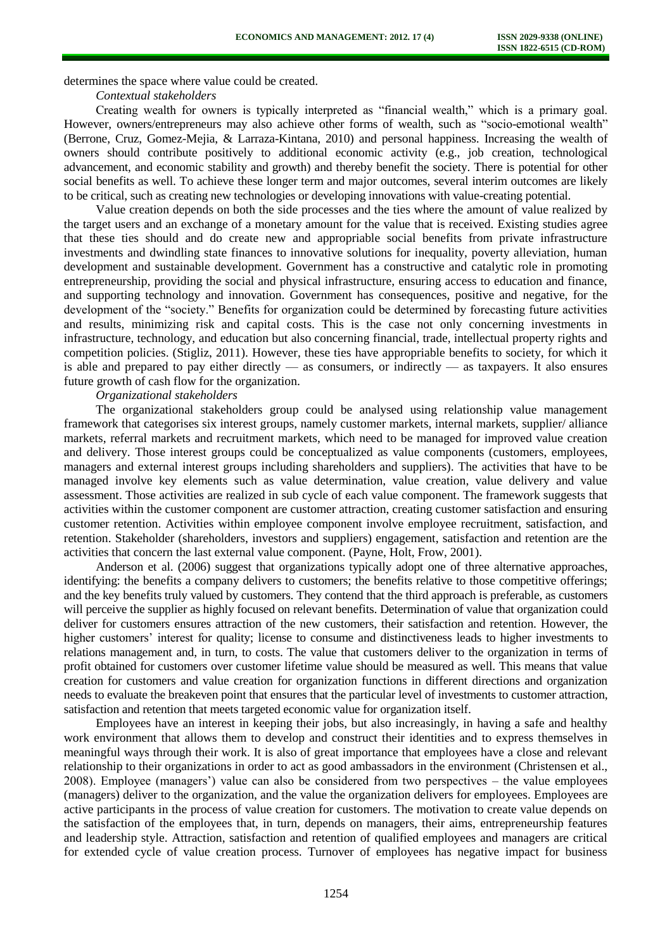determines the space where value could be created.

*Contextual stakeholders* 

Creating wealth for owners is typically interpreted as "financial wealth," which is a primary goal. However, owners/entrepreneurs may also achieve other forms of wealth, such as "socio-emotional wealth" (Berrone, Cruz, Gomez-Mejia, & Larraza-Kintana, 2010) and personal happiness. Increasing the wealth of owners should contribute positively to additional economic activity (e.g., job creation, technological advancement, and economic stability and growth) and thereby benefit the society. There is potential for other social benefits as well. To achieve these longer term and major outcomes, several interim outcomes are likely to be critical, such as creating new technologies or developing innovations with value-creating potential.

Value creation depends on both the side processes and the ties where the amount of value realized by the target users and an exchange of a monetary amount for the value that is received. Existing studies agree that these ties should and do create new and appropriable social benefits from private infrastructure investments and dwindling state finances to innovative solutions for inequality, poverty alleviation, human development and sustainable development. Government has a constructive and catalytic role in promoting entrepreneurship, providing the social and physical infrastructure, ensuring access to education and finance, and supporting technology and innovation. Government has consequences, positive and negative, for the development of the "society." Benefits for organization could be determined by forecasting future activities and results, minimizing risk and capital costs. This is the case not only concerning investments in infrastructure, technology, and education but also concerning financial, trade, intellectual property rights and competition policies. (Stigliz, 2011). However, these ties have appropriable benefits to society, for which it is able and prepared to pay either directly — as consumers, or indirectly — as taxpayers. It also ensures future growth of cash flow for the organization.

*Organizational stakeholders* 

The organizational stakeholders group could be analysed using relationship value management framework that categorises six interest groups, namely customer markets, internal markets, supplier/ alliance markets, referral markets and recruitment markets, which need to be managed for improved value creation and delivery. Those interest groups could be conceptualized as value components (customers, employees, managers and external interest groups including shareholders and suppliers). The activities that have to be managed involve key elements such as value determination, value creation, value delivery and value assessment. Those activities are realized in sub cycle of each value component. The framework suggests that activities within the customer component are customer attraction, creating customer satisfaction and ensuring customer retention. Activities within employee component involve employee recruitment, satisfaction, and retention. Stakeholder (shareholders, investors and suppliers) engagement, satisfaction and retention are the activities that concern the last external value component. (Payne, Holt, Frow, 2001).

Anderson et al. (2006) suggest that organizations typically adopt one of three alternative approaches, identifying: the benefits a company delivers to customers; the benefits relative to those competitive offerings; and the key benefits truly valued by customers. They contend that the third approach is preferable, as customers will perceive the supplier as highly focused on relevant benefits. Determination of value that organization could deliver for customers ensures attraction of the new customers, their satisfaction and retention. However, the higher customers' interest for quality; license to consume and distinctiveness leads to higher investments to relations management and, in turn, to costs. The value that customers deliver to the organization in terms of profit obtained for customers over customer lifetime value should be measured as well. This means that value creation for customers and value creation for organization functions in different directions and organization needs to evaluate the breakeven point that ensures that the particular level of investments to customer attraction, satisfaction and retention that meets targeted economic value for organization itself.

Employees have an interest in keeping their jobs, but also increasingly, in having a safe and healthy work environment that allows them to develop and construct their identities and to express themselves in meaningful ways through their work. It is also of great importance that employees have a close and relevant relationship to their organizations in order to act as good ambassadors in the environment (Christensen et al., 2008). Employee (managers') value can also be considered from two perspectives – the value employees (managers) deliver to the organization, and the value the organization delivers for employees. Employees are active participants in the process of value creation for customers. The motivation to create value depends on the satisfaction of the employees that, in turn, depends on managers, their aims, entrepreneurship features and leadership style. Attraction, satisfaction and retention of qualified employees and managers are critical for extended cycle of value creation process. Turnover of employees has negative impact for business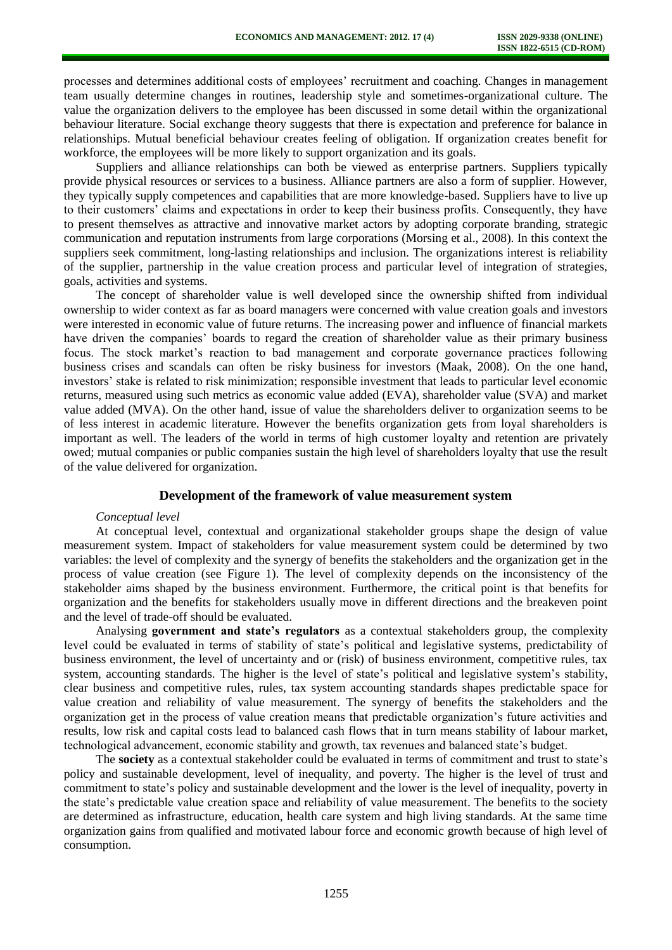processes and determines additional costs of employees' recruitment and coaching. Changes in management team usually determine changes in routines, leadership style and sometimes-organizational culture. The value the organization delivers to the employee has been discussed in some detail within the organizational behaviour literature. Social exchange theory suggests that there is expectation and preference for balance in relationships. Mutual beneficial behaviour creates feeling of obligation. If organization creates benefit for workforce, the employees will be more likely to support organization and its goals.

Suppliers and alliance relationships can both be viewed as enterprise partners. Suppliers typically provide physical resources or services to a business. Alliance partners are also a form of supplier. However, they typically supply competences and capabilities that are more knowledge-based. Suppliers have to live up to their customers' claims and expectations in order to keep their business profits. Consequently, they have to present themselves as attractive and innovative market actors by adopting corporate branding, strategic communication and reputation instruments from large corporations (Morsing et al., 2008). In this context the suppliers seek commitment, long-lasting relationships and inclusion. The organizations interest is reliability of the supplier, partnership in the value creation process and particular level of integration of strategies, goals, activities and systems.

The concept of shareholder value is well developed since the ownership shifted from individual ownership to wider context as far as board managers were concerned with value creation goals and investors were interested in economic value of future returns. The increasing power and influence of financial markets have driven the companies' boards to regard the creation of shareholder value as their primary business focus. The stock market's reaction to bad management and corporate governance practices following business crises and scandals can often be risky business for investors (Maak, 2008). On the one hand, investors' stake is related to risk minimization; responsible investment that leads to particular level economic returns, measured using such metrics as economic value added (EVA), shareholder value (SVA) and market value added (MVA). On the other hand, issue of value the shareholders deliver to organization seems to be of less interest in academic literature. However the benefits organization gets from loyal shareholders is important as well. The leaders of the world in terms of high customer loyalty and retention are privately owed; mutual companies or public companies sustain the high level of shareholders loyalty that use the result of the value delivered for organization.

#### **Development of the framework of value measurement system**

#### *Conceptual level*

At conceptual level, contextual and organizational stakeholder groups shape the design of value measurement system. Impact of stakeholders for value measurement system could be determined by two variables: the level of complexity and the synergy of benefits the stakeholders and the organization get in the process of value creation (see Figure 1). The level of complexity depends on the inconsistency of the stakeholder aims shaped by the business environment. Furthermore, the critical point is that benefits for organization and the benefits for stakeholders usually move in different directions and the breakeven point and the level of trade-off should be evaluated.

Analysing **government and state's regulators** as a contextual stakeholders group, the complexity level could be evaluated in terms of stability of state's political and legislative systems, predictability of business environment, the level of uncertainty and or (risk) of business environment, competitive rules, tax system, accounting standards. The higher is the level of state's political and legislative system's stability, clear business and competitive rules, rules, tax system accounting standards shapes predictable space for value creation and reliability of value measurement. The synergy of benefits the stakeholders and the organization get in the process of value creation means that predictable organization's future activities and results, low risk and capital costs lead to balanced cash flows that in turn means stability of labour market, technological advancement, economic stability and growth, tax revenues and balanced state's budget.

The **society** as a contextual stakeholder could be evaluated in terms of commitment and trust to state's policy and sustainable development, level of inequality, and poverty. The higher is the level of trust and commitment to state's policy and sustainable development and the lower is the level of inequality, poverty in the state's predictable value creation space and reliability of value measurement. The benefits to the society are determined as infrastructure, education, health care system and high living standards. At the same time organization gains from qualified and motivated labour force and economic growth because of high level of consumption.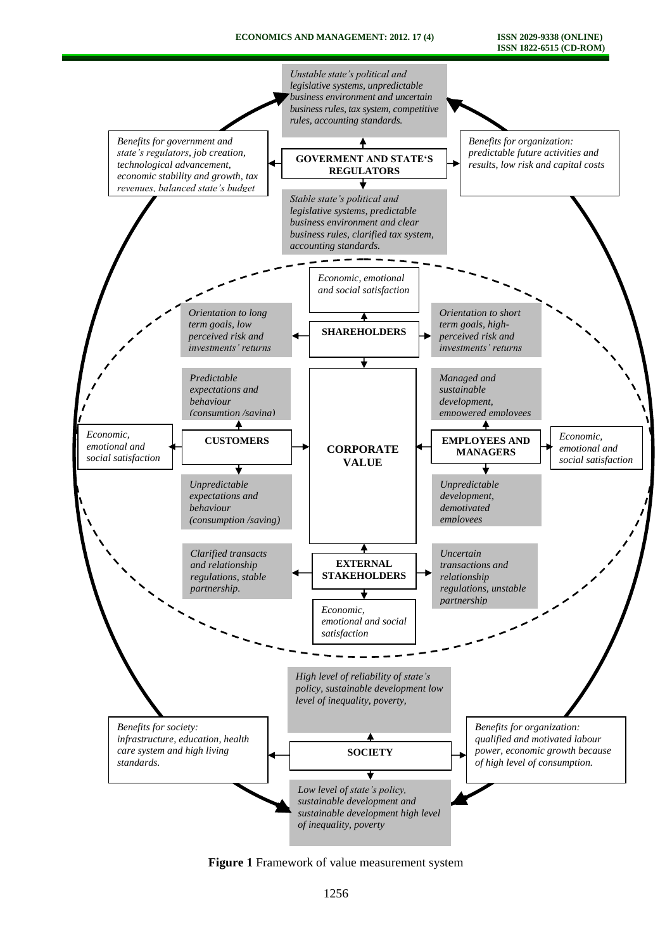#### **ECONOMICS AND MANAGEMENT: 2012. 17 (4) ISSN 2029-9338 (ONLINE)**

**ISSN 1822-6515 (CD-ROM)**



**Figure 1** Framework of value measurement system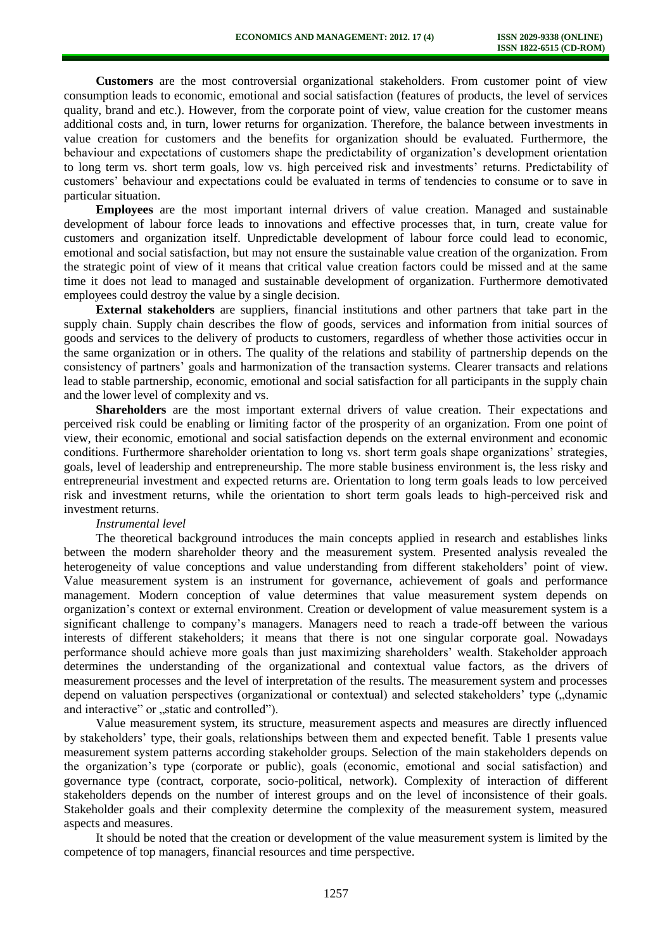**Customers** are the most controversial organizational stakeholders. From customer point of view consumption leads to economic, emotional and social satisfaction (features of products, the level of services quality, brand and etc.). However, from the corporate point of view, value creation for the customer means additional costs and, in turn, lower returns for organization. Therefore, the balance between investments in value creation for customers and the benefits for organization should be evaluated. Furthermore, the behaviour and expectations of customers shape the predictability of organization's development orientation to long term vs. short term goals, low vs. high perceived risk and investments' returns. Predictability of customers' behaviour and expectations could be evaluated in terms of tendencies to consume or to save in particular situation.

**Employees** are the most important internal drivers of value creation. Managed and sustainable development of labour force leads to innovations and effective processes that, in turn, create value for customers and organization itself. Unpredictable development of labour force could lead to economic, emotional and social satisfaction, but may not ensure the sustainable value creation of the organization. From the strategic point of view of it means that critical value creation factors could be missed and at the same time it does not lead to managed and sustainable development of organization. Furthermore demotivated employees could destroy the value by a single decision.

**External stakeholders** are suppliers, financial institutions and other partners that take part in the supply chain. Supply chain describes the flow of goods, services and information from initial sources of goods and services to the delivery of products to customers, regardless of whether those activities occur in the same organization or in others. The quality of the relations and stability of partnership depends on the consistency of partners' goals and harmonization of the transaction systems. Clearer transacts and relations lead to stable partnership, economic, emotional and social satisfaction for all participants in the supply chain and the lower level of complexity and vs.

**Shareholders** are the most important external drivers of value creation. Their expectations and perceived risk could be enabling or limiting factor of the prosperity of an organization. From one point of view, their economic, emotional and social satisfaction depends on the external environment and economic conditions. Furthermore shareholder orientation to long vs. short term goals shape organizations' strategies, goals, level of leadership and entrepreneurship. The more stable business environment is, the less risky and entrepreneurial investment and expected returns are. Orientation to long term goals leads to low perceived risk and investment returns, while the orientation to short term goals leads to high-perceived risk and investment returns.

### *Instrumental level*

The theoretical background introduces the main concepts applied in research and establishes links between the modern shareholder theory and the measurement system. Presented analysis revealed the heterogeneity of value conceptions and value understanding from different stakeholders' point of view. Value measurement system is an instrument for governance, achievement of goals and performance management. Modern conception of value determines that value measurement system depends on organization's context or external environment. Creation or development of value measurement system is a significant challenge to company's managers. Managers need to reach a trade-off between the various interests of different stakeholders; it means that there is not one singular corporate goal. Nowadays performance should achieve more goals than just maximizing shareholders' wealth. Stakeholder approach determines the understanding of the organizational and contextual value factors, as the drivers of measurement processes and the level of interpretation of the results. The measurement system and processes depend on valuation perspectives (organizational or contextual) and selected stakeholders' type ("dynamic and interactive" or "static and controlled").

Value measurement system, its structure, measurement aspects and measures are directly influenced by stakeholders' type, their goals, relationships between them and expected benefit. Table 1 presents value measurement system patterns according stakeholder groups. Selection of the main stakeholders depends on the organization's type (corporate or public), goals (economic, emotional and social satisfaction) and governance type (contract, corporate, socio-political, network). Complexity of interaction of different stakeholders depends on the number of interest groups and on the level of inconsistence of their goals. Stakeholder goals and their complexity determine the complexity of the measurement system, measured aspects and measures.

It should be noted that the creation or development of the value measurement system is limited by the competence of top managers, financial resources and time perspective.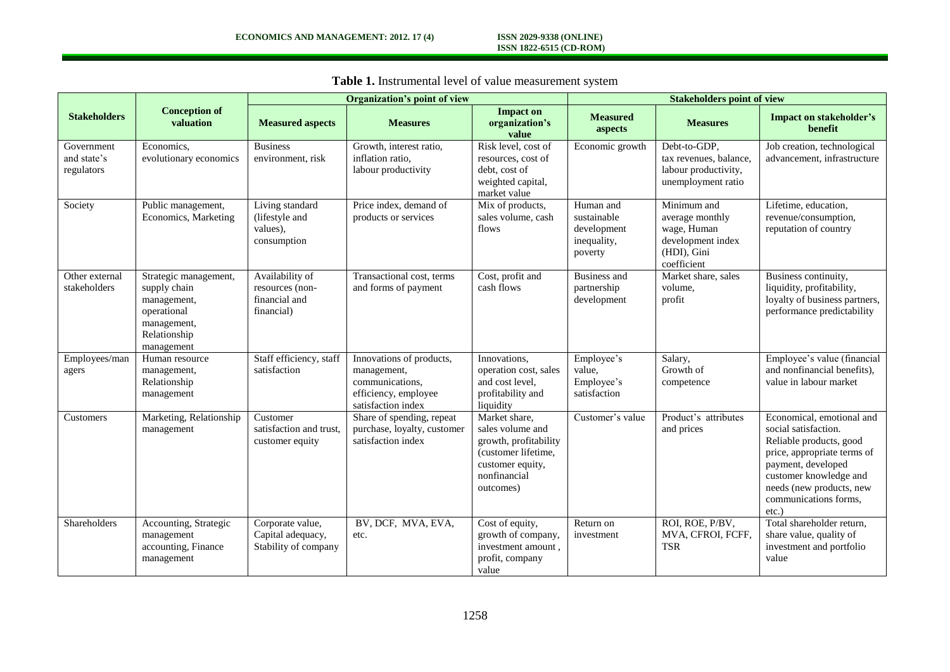# **ISSN 1822-6515 (CD-ROM)**

|                                         |                                                                                                                  | <b>Organization's point of view</b>                               |                                                                                                          |                                                                                                                                    | <b>Stakeholders point of view</b>                                 |                                                                                                  |                                                                                                                                                                                                                              |
|-----------------------------------------|------------------------------------------------------------------------------------------------------------------|-------------------------------------------------------------------|----------------------------------------------------------------------------------------------------------|------------------------------------------------------------------------------------------------------------------------------------|-------------------------------------------------------------------|--------------------------------------------------------------------------------------------------|------------------------------------------------------------------------------------------------------------------------------------------------------------------------------------------------------------------------------|
| <b>Stakeholders</b>                     | <b>Conception of</b><br>valuation                                                                                | <b>Measured aspects</b>                                           | <b>Measures</b>                                                                                          | <b>Impact on</b><br>organization's<br>value                                                                                        | <b>Measured</b><br>aspects                                        | <b>Measures</b>                                                                                  | Impact on stakeholder's<br>benefit                                                                                                                                                                                           |
| Government<br>and state's<br>regulators | Economics,<br>evolutionary economics                                                                             | <b>Business</b><br>environment, risk                              | Growth, interest ratio,<br>inflation ratio,<br>labour productivity                                       | Risk level, cost of<br>resources, cost of<br>debt, cost of<br>weighted capital,<br>market value                                    | Economic growth                                                   | Debt-to-GDP,<br>tax revenues, balance,<br>labour productivity,<br>unemployment ratio             | Job creation, technological<br>advancement, infrastructure                                                                                                                                                                   |
| Society                                 | Public management,<br>Economics, Marketing                                                                       | Living standard<br>(lifestyle and<br>values),<br>consumption      | Price index, demand of<br>products or services                                                           | Mix of products,<br>sales volume, cash<br>flows                                                                                    | Human and<br>sustainable<br>development<br>inequality,<br>poverty | Minimum and<br>average monthly<br>wage, Human<br>development index<br>(HDI), Gini<br>coefficient | Lifetime, education,<br>revenue/consumption,<br>reputation of country                                                                                                                                                        |
| Other external<br>stakeholders          | Strategic management,<br>supply chain<br>management,<br>operational<br>management,<br>Relationship<br>management | Availability of<br>resources (non-<br>financial and<br>financial) | Transactional cost, terms<br>and forms of payment                                                        | Cost, profit and<br>cash flows                                                                                                     | <b>Business and</b><br>partnership<br>development                 | Market share, sales<br>volume,<br>profit                                                         | Business continuity,<br>liquidity, profitability,<br>loyalty of business partners,<br>performance predictability                                                                                                             |
| Employees/man<br>agers                  | Human resource<br>management,<br>Relationship<br>management                                                      | Staff efficiency, staff<br>satisfaction                           | Innovations of products,<br>management,<br>communications,<br>efficiency, employee<br>satisfaction index | Innovations.<br>operation cost, sales<br>and cost level.<br>profitability and<br>liquidity                                         | Employee's<br>value,<br>Employee's<br>satisfaction                | Salary,<br>Growth of<br>competence                                                               | Employee's value (financial<br>and nonfinancial benefits),<br>value in labour market                                                                                                                                         |
| Customers                               | Marketing, Relationship<br>management                                                                            | Customer<br>satisfaction and trust,<br>customer equity            | Share of spending, repeat<br>purchase, loyalty, customer<br>satisfaction index                           | Market share,<br>sales volume and<br>growth, profitability<br>(customer lifetime,<br>customer equity,<br>nonfinancial<br>outcomes) | Customer's value                                                  | Product's attributes<br>and prices                                                               | Economical, emotional and<br>social satisfaction.<br>Reliable products, good<br>price, appropriate terms of<br>payment, developed<br>customer knowledge and<br>needs (new products, new<br>communications forms,<br>$etc.$ ) |
| Shareholders                            | Accounting, Strategic<br>management<br>accounting, Finance<br>management                                         | Corporate value,<br>Capital adequacy,<br>Stability of company     | BV, DCF, MVA, EVA,<br>etc.                                                                               | Cost of equity,<br>growth of company,<br>investment amount,<br>profit, company<br>value                                            | Return on<br>investment                                           | ROI, ROE, P/BV,<br>MVA, CFROI, FCFF,<br><b>TSR</b>                                               | Total shareholder return,<br>share value, quality of<br>investment and portfolio<br>value                                                                                                                                    |

**Table 1.** Instrumental level of value measurement system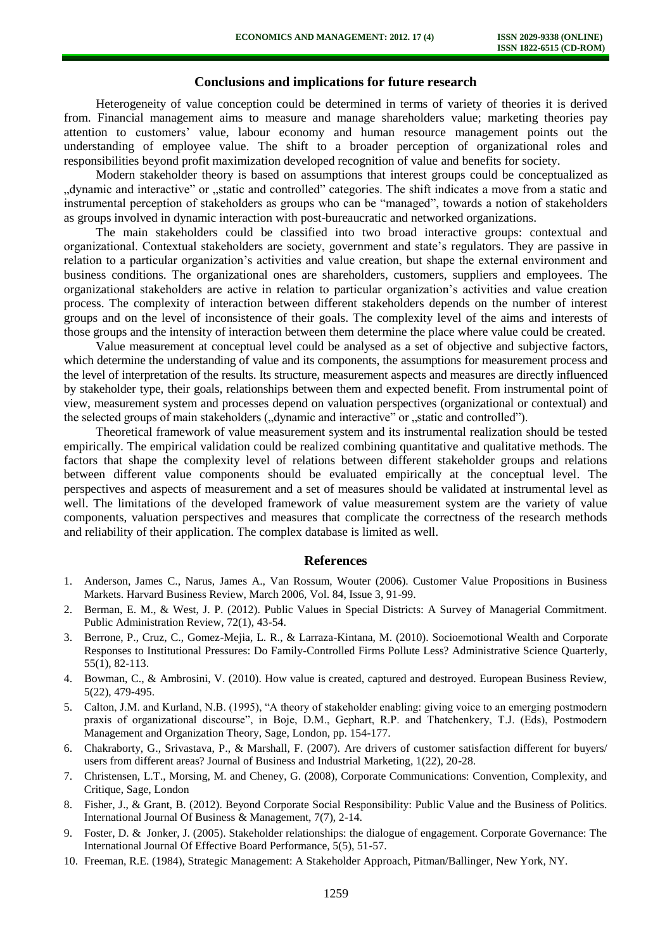# **Conclusions and implications for future research**

Heterogeneity of value conception could be determined in terms of variety of theories it is derived from. Financial management aims to measure and manage shareholders value; marketing theories pay attention to customers' value, labour economy and human resource management points out the understanding of employee value. The shift to a broader perception of organizational roles and responsibilities beyond profit maximization developed recognition of value and benefits for society.

Modern stakeholder theory is based on assumptions that interest groups could be conceptualized as "dynamic and interactive" or "static and controlled" categories. The shift indicates a move from a static and instrumental perception of stakeholders as groups who can be "managed", towards a notion of stakeholders as groups involved in dynamic interaction with post-bureaucratic and networked organizations.

The main stakeholders could be classified into two broad interactive groups: contextual and organizational. Contextual stakeholders are society, government and state's regulators. They are passive in relation to a particular organization's activities and value creation, but shape the external environment and business conditions. The organizational ones are shareholders, customers, suppliers and employees. The organizational stakeholders are active in relation to particular organization's activities and value creation process. The complexity of interaction between different stakeholders depends on the number of interest groups and on the level of inconsistence of their goals. The complexity level of the aims and interests of those groups and the intensity of interaction between them determine the place where value could be created.

Value measurement at conceptual level could be analysed as a set of objective and subjective factors, which determine the understanding of value and its components, the assumptions for measurement process and the level of interpretation of the results. Its structure, measurement aspects and measures are directly influenced by stakeholder type, their goals, relationships between them and expected benefit. From instrumental point of view, measurement system and processes depend on valuation perspectives (organizational or contextual) and the selected groups of main stakeholders ("dynamic and interactive" or "static and controlled").

Theoretical framework of value measurement system and its instrumental realization should be tested empirically. The empirical validation could be realized combining quantitative and qualitative methods. The factors that shape the complexity level of relations between different stakeholder groups and relations between different value components should be evaluated empirically at the conceptual level. The perspectives and aspects of measurement and a set of measures should be validated at instrumental level as well. The limitations of the developed framework of value measurement system are the variety of value components, valuation perspectives and measures that complicate the correctness of the research methods and reliability of their application. The complex database is limited as well.

#### **References**

- 1. Anderson, James C., Narus, James A., Van Rossum, Wouter (2006). Customer Value Propositions in Business Markets. Harvard Business Review, March 2006, Vol. 84, Issue 3, 91-99.
- 2. Berman, E. M., & West, J. P. (2012). Public Values in Special Districts: A Survey of Managerial Commitment. Public Administration Review, 72(1), 43-54.
- 3. Berrone, P., Cruz, C., Gomez-Mejia, L. R., & Larraza-Kintana, M. (2010). Socioemotional Wealth and Corporate Responses to Institutional Pressures: Do Family-Controlled Firms Pollute Less? Administrative Science Quarterly, 55(1), 82-113.
- 4. Bowman, C., & Ambrosini, V. (2010). How value is created, captured and destroyed. European Business Review, 5(22), 479-495.
- 5. Calton, J.M. and Kurland, N.B. (1995), "A theory of stakeholder enabling: giving voice to an emerging postmodern praxis of organizational discourse", in Boje, D.M., Gephart, R.P. and Thatchenkery, T.J. (Eds), Postmodern Management and Organization Theory, Sage, London, pp. 154-177.
- 6. Chakraborty, G., Srivastava, P., & Marshall, F. (2007). Are drivers of customer satisfaction different for buyers/ users from different areas? Journal of Business and Industrial Marketing, 1(22), 20-28.
- 7. Christensen, L.T., Morsing, M. and Cheney, G. (2008), Corporate Communications: Convention, Complexity, and Critique, Sage, London
- 8. Fisher, J., & Grant, B. (2012). Beyond Corporate Social Responsibility: Public Value and the Business of Politics. International Journal Of Business & Management, 7(7), 2-14.
- 9. Foster, D. & Jonker, J. (2005). Stakeholder relationships: the dialogue of engagement. Corporate Governance: The International Journal Of Effective Board Performance, 5(5), 51-57.
- 10. Freeman, R.E. (1984), Strategic Management: A Stakeholder Approach, Pitman/Ballinger, New York, NY.